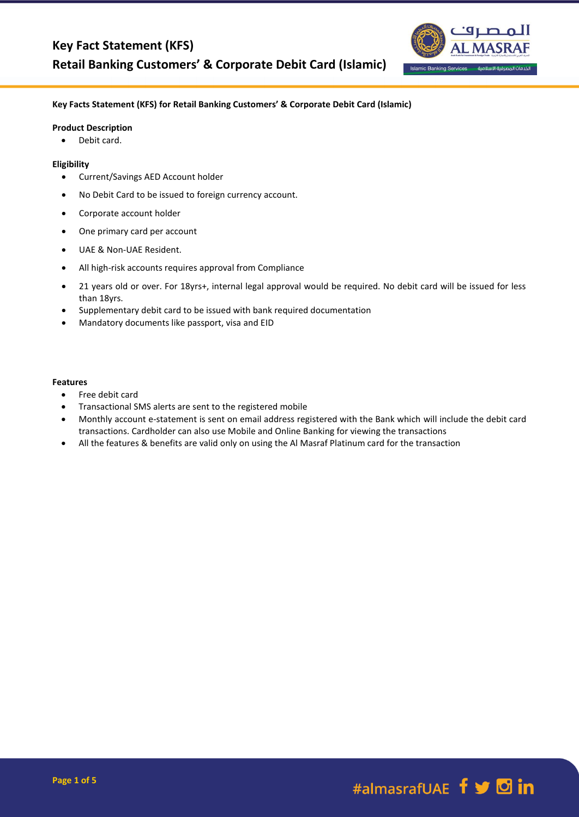

# **Key Facts Statement (KFS) for Retail Banking Customers' & Corporate Debit Card (Islamic)**

#### **Product Description**

• Debit card.

#### **Eligibility**

- Current/Savings AED Account holder
- No Debit Card to be issued to foreign currency account.
- Corporate account holder
- One primary card per account
- UAE & Non-UAE Resident.
- All high-risk accounts requires approval from Compliance
- 21 years old or over. For 18yrs+, internal legal approval would be required. No debit card will be issued for less than 18yrs.
- Supplementary debit card to be issued with bank required documentation
- Mandatory documents like passport, visa and EID

#### **Features**

- Free debit card
- Transactional SMS alerts are sent to the registered mobile
- Monthly account e-statement is sent on email address registered with the Bank which will include the debit card transactions. Cardholder can also use Mobile and Online Banking for viewing the transactions
- All the features & benefits are valid only on using the Al Masraf Platinum card for the transaction

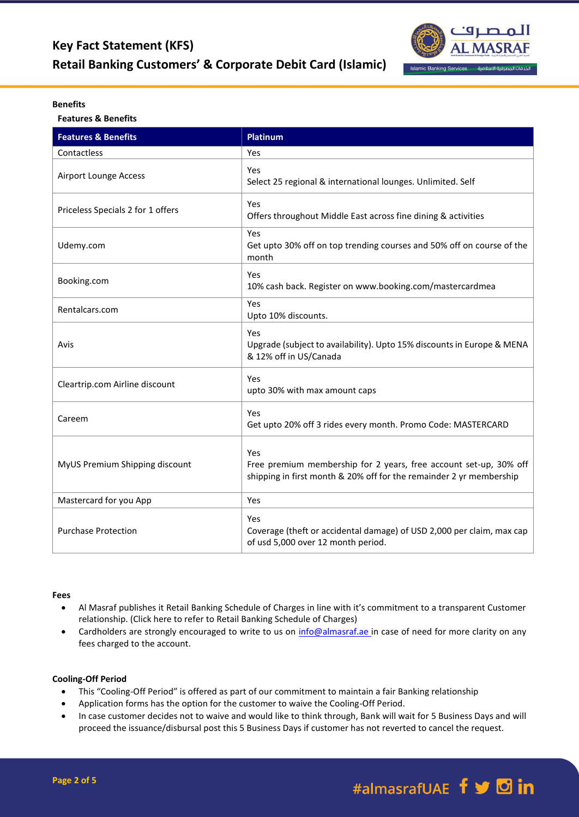

### **Benefits**

**Features & Benefits**

| <b>Features &amp; Benefits</b>    | <b>Platinum</b>                                                                                                                                 |
|-----------------------------------|-------------------------------------------------------------------------------------------------------------------------------------------------|
| Contactless                       | Yes                                                                                                                                             |
| Airport Lounge Access             | Yes<br>Select 25 regional & international lounges. Unlimited. Self                                                                              |
| Priceless Specials 2 for 1 offers | Yes<br>Offers throughout Middle East across fine dining & activities                                                                            |
| Udemy.com                         | Yes<br>Get upto 30% off on top trending courses and 50% off on course of the<br>month                                                           |
| Booking.com                       | Yes<br>10% cash back. Register on www.booking.com/mastercardmea                                                                                 |
| Rentalcars.com                    | Yes<br>Upto 10% discounts.                                                                                                                      |
| Avis                              | Yes<br>Upgrade (subject to availability). Upto 15% discounts in Europe & MENA<br>& 12% off in US/Canada                                         |
| Cleartrip.com Airline discount    | Yes<br>upto 30% with max amount caps                                                                                                            |
| Careem                            | Yes<br>Get upto 20% off 3 rides every month. Promo Code: MASTERCARD                                                                             |
| MyUS Premium Shipping discount    | Yes<br>Free premium membership for 2 years, free account set-up, 30% off<br>shipping in first month & 20% off for the remainder 2 yr membership |
| Mastercard for you App            | Yes                                                                                                                                             |
| <b>Purchase Protection</b>        | Yes<br>Coverage (theft or accidental damage) of USD 2,000 per claim, max cap<br>of usd 5,000 over 12 month period.                              |

#### **Fees**

- Al Masraf publishes it Retail Banking Schedule of Charges in line with it's commitment to a transparent Customer relationship. (Click here to refer to Retail Banking Schedule of Charges)
- Cardholders are strongly encouraged to write to us on [info@almasraf.ae](mailto:info@almasraf.ae) in case of need for more clarity on any fees charged to the account.

# **Cooling-Off Period**

- This "Cooling-Off Period" is offered as part of our commitment to maintain a fair Banking relationship
- Application forms has the option for the customer to waive the Cooling-Off Period.
- In case customer decides not to waive and would like to think through, Bank will wait for 5 Business Days and will proceed the issuance/disbursal post this 5 Business Days if customer has not reverted to cancel the request.

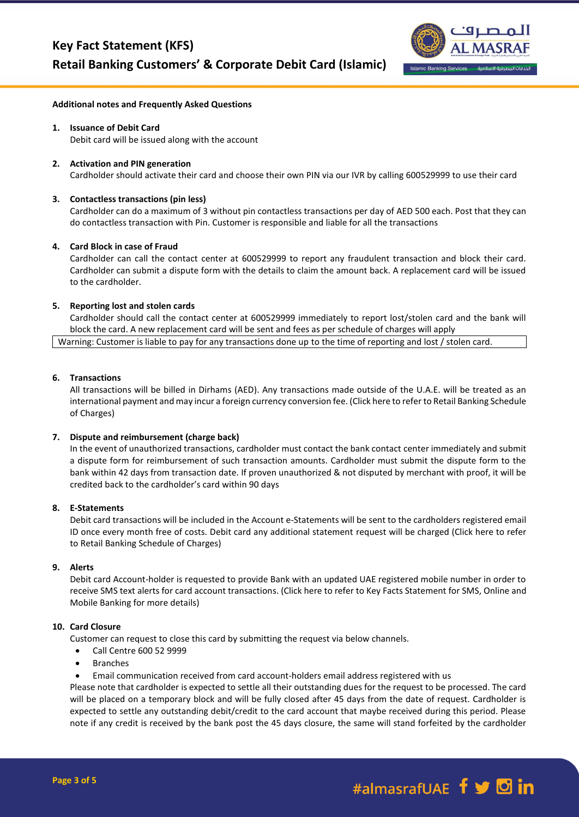

#### **Additional notes and Frequently Asked Questions**

# **1. Issuance of Debit Card**

Debit card will be issued along with the account

### **2. Activation and PIN generation**

Cardholder should activate their card and choose their own PIN via our IVR by calling 600529999 to use their card

### **3. Contactless transactions (pin less)**

Cardholder can do a maximum of 3 without pin contactless transactions per day of AED 500 each. Post that they can do contactless transaction with Pin. Customer is responsible and liable for all the transactions

### **4. Card Block in case of Fraud**

Cardholder can call the contact center at 600529999 to report any fraudulent transaction and block their card. Cardholder can submit a dispute form with the details to claim the amount back. A replacement card will be issued to the cardholder.

### **5. Reporting lost and stolen cards**

Cardholder should call the contact center at 600529999 immediately to report lost/stolen card and the bank will block the card. A new replacement card will be sent and fees as per schedule of charges will apply

Warning: Customer is liable to pay for any transactions done up to the time of reporting and lost / stolen card.

#### **6. Transactions**

All transactions will be billed in Dirhams (AED). Any transactions made outside of the U.A.E. will be treated as an international payment and may incur a foreign currency conversion fee. (Click here to refer to Retail Banking Schedule of Charges)

#### **7. Dispute and reimbursement (charge back)**

In the event of unauthorized transactions, cardholder must contact the bank contact center immediately and submit a dispute form for reimbursement of such transaction amounts. Cardholder must submit the dispute form to the bank within 42 days from transaction date. If proven unauthorized & not disputed by merchant with proof, it will be credited back to the cardholder's card within 90 days

### **8. E-Statements**

Debit card transactions will be included in the Account e-Statements will be sent to the cardholders registered email ID once every month free of costs. Debit card any additional statement request will be charged (Click here to refer to Retail Banking Schedule of Charges)

# **9. Alerts**

Debit card Account-holder is requested to provide Bank with an updated UAE registered mobile number in order to receive SMS text alerts for card account transactions. (Click here to refer to Key Facts Statement for SMS, Online and Mobile Banking for more details)

#### **10. Card Closure**

Customer can request to close this card by submitting the request via below channels.

- Call Centre 600 52 9999
- Branches
- Email communication received from card account-holders email address registered with us

Please note that cardholder is expected to settle all their outstanding dues for the request to be processed. The card will be placed on a temporary block and will be fully closed after 45 days from the date of request. Cardholder is expected to settle any outstanding debit/credit to the card account that maybe received during this period. Please note if any credit is received by the bank post the 45 days closure, the same will stand forfeited by the cardholder

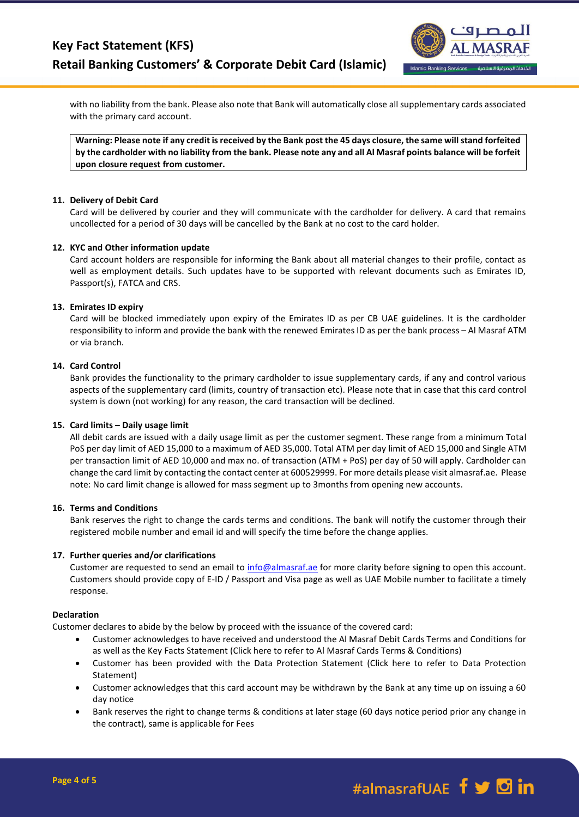

with no liability from the bank. Please also note that Bank will automatically close all supplementary cards associated with the primary card account.

**Warning: Please note if any credit is received by the Bank post the 45 days closure, the same will stand forfeited by the cardholder with no liability from the bank. Please note any and all Al Masraf points balance will be forfeit upon closure request from customer.**

## **11. Delivery of Debit Card**

Card will be delivered by courier and they will communicate with the cardholder for delivery. A card that remains uncollected for a period of 30 days will be cancelled by the Bank at no cost to the card holder.

### **12. KYC and Other information update**

Card account holders are responsible for informing the Bank about all material changes to their profile, contact as well as employment details. Such updates have to be supported with relevant documents such as Emirates ID, Passport(s), FATCA and CRS.

### **13. Emirates ID expiry**

Card will be blocked immediately upon expiry of the Emirates ID as per CB UAE guidelines. It is the cardholder responsibility to inform and provide the bank with the renewed Emirates ID as per the bank process – Al Masraf ATM or via branch.

## **14. Card Control**

Bank provides the functionality to the primary cardholder to issue supplementary cards, if any and control various aspects of the supplementary card (limits, country of transaction etc). Please note that in case that this card control system is down (not working) for any reason, the card transaction will be declined.

#### **15. Card limits – Daily usage limit**

All debit cards are issued with a daily usage limit as per the customer segment. These range from a minimum Total PoS per day limit of AED 15,000 to a maximum of AED 35,000. Total ATM per day limit of AED 15,000 and Single ATM per transaction limit of AED 10,000 and max no. of transaction (ATM + PoS) per day of 50 will apply. Cardholder can change the card limit by contacting the contact center at 600529999. For more details please visit almasraf.ae. Please note: No card limit change is allowed for mass segment up to 3months from opening new accounts.

#### **16. Terms and Conditions**

Bank reserves the right to change the cards terms and conditions. The bank will notify the customer through their registered mobile number and email id and will specify the time before the change applies.

#### **17. Further queries and/or clarifications**

Customer are requested to send an email to [info@almasraf.ae](mailto:info@almasraf.ae) for more clarity before signing to open this account. Customers should provide copy of E-ID / Passport and Visa page as well as UAE Mobile number to facilitate a timely response.

#### **Declaration**

Customer declares to abide by the below by proceed with the issuance of the covered card:

- Customer acknowledges to have received and understood the Al Masraf Debit Cards Terms and Conditions for as well as the Key Facts Statement (Click here to refer to Al Masraf Cards Terms & Conditions)
- Customer has been provided with the Data Protection Statement (Click here to refer to Data Protection Statement)
- Customer acknowledges that this card account may be withdrawn by the Bank at any time up on issuing a 60 day notice
- Bank reserves the right to change terms & conditions at later stage (60 days notice period prior any change in the contract), same is applicable for Fees